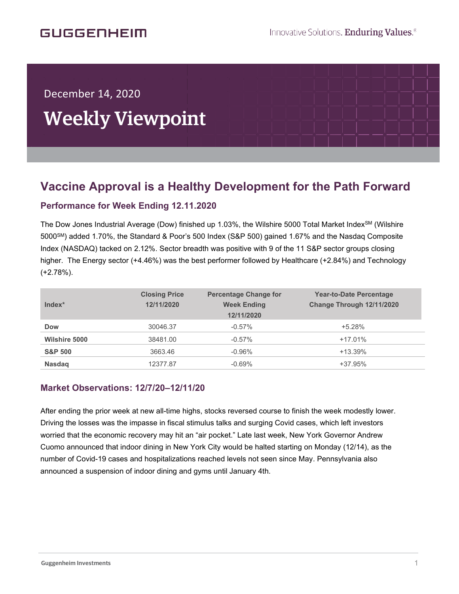December 14, 2020

í

# Weekly Viewpoint

## **Vaccine Approval is a Healthy Development for the Path Forward**  $\overline{\phantom{a}}$

### **Performance for Week Ending 12.11.2020**

The Dow Jones Industrial Average (Dow) finished up 1.03%, the Wilshire 5000 Total Market Index<sup>SM</sup> (Wilshire 5000SM) added 1.70%, the Standard & Poor's 500 Index (S&P 500) gained 1.67% and the Nasdaq Composite Index (NASDAQ) tacked on 2.12%. Sector breadth was positive with 9 of the 11 S&P sector groups closing higher. The Energy sector (+4.46%) was the best performer followed by Healthcare (+2.84%) and Technology (+2.78%).

| $Index*$             | <b>Closing Price</b><br>12/11/2020 | <b>Percentage Change for</b><br><b>Week Ending</b><br>12/11/2020 | <b>Year-to-Date Percentage</b><br>Change Through 12/11/2020 |
|----------------------|------------------------------------|------------------------------------------------------------------|-------------------------------------------------------------|
| <b>Dow</b>           | 30046.37                           | $-0.57\%$                                                        | $+5.28%$                                                    |
| <b>Wilshire 5000</b> | 38481.00                           | $-0.57%$                                                         | $+17.01%$                                                   |
| <b>S&amp;P 500</b>   | 3663.46                            | $-0.96%$                                                         | $+13.39%$                                                   |
| <b>Nasdaq</b>        | 12377.87                           | $-0.69%$                                                         | $+37.95%$                                                   |

#### **Market Observations: 12/7/20–12/11/20**

After ending the prior week at new all-time highs, stocks reversed course to finish the week modestly lower. Driving the losses was the impasse in fiscal stimulus talks and surging Covid cases, which left investors worried that the economic recovery may hit an "air pocket." Late last week, New York Governor Andrew Cuomo announced that indoor dining in New York City would be halted starting on Monday (12/14), as the number of Covid-19 cases and hospitalizations reached levels not seen since May. Pennsylvania also announced a suspension of indoor dining and gyms until January 4th.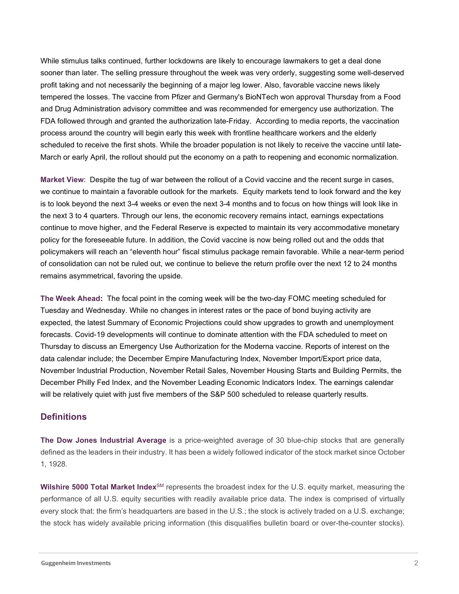While stimulus talks continued, further lockdowns are likely to encourage lawmakers to get a deal done sooner than later. The selling pressure throughout the week was very orderly, suggesting some well-deserved profit taking and not necessarily the beginning of a major leg lower. Also, favorable vaccine news likely tempered the losses. The vaccine from Pfizer and Germany's BioNTech won approval Thursday from a Food and Drug Administration advisory committee and was recommended for emergency use authorization. The FDA followed through and granted the authorization late-Friday. According to media reports, the vaccination process around the country will begin early this week with frontline healthcare workers and the elderly scheduled to receive the first shots. While the broader population is not likely to receive the vaccine until late-March or early April, the rollout should put the economy on a path to reopening and economic normalization.

**Market View**: Despite the tug of war between the rollout of a Covid vaccine and the recent surge in cases, we continue to maintain a favorable outlook for the markets. Equity markets tend to look forward and the key is to look beyond the next 3-4 weeks or even the next 3-4 months and to focus on how things will look like in the next 3 to 4 quarters. Through our lens, the economic recovery remains intact, earnings expectations continue to move higher, and the Federal Reserve is expected to maintain its very accommodative monetary policy for the foreseeable future. In addition, the Covid vaccine is now being rolled out and the odds that policymakers will reach an "eleventh hour" fiscal stimulus package remain favorable. While a near-term period of consolidation can not be ruled out, we continue to believe the return profile over the next 12 to 24 months remains asymmetrical, favoring the upside.

**The Week Ahead:** The focal point in the coming week will be the two-day FOMC meeting scheduled for Tuesday and Wednesday. While no changes in interest rates or the pace of bond buying activity are expected, the latest Summary of Economic Projections could show upgrades to growth and unemployment forecasts. Covid-19 developments will continue to dominate attention with the FDA scheduled to meet on Thursday to discuss an Emergency Use Authorization for the Moderna vaccine. Reports of interest on the data calendar include; the December Empire Manufacturing Index, November Import/Export price data, November Industrial Production, November Retail Sales, November Housing Starts and Building Permits, the December Philly Fed Index, and the November Leading Economic Indicators Index. The earnings calendar will be relatively quiet with just five members of the S&P 500 scheduled to release quarterly results.

#### **Definitions**

**The Dow Jones Industrial Average** is a price-weighted average of 30 blue-chip stocks that are generally defined as the leaders in their industry. It has been a widely followed indicator of the stock market since October 1, 1928.

**Wilshire 5000 Total Market Index**SM represents the broadest index for the U.S. equity market, measuring the performance of all U.S. equity securities with readily available price data. The index is comprised of virtually every stock that: the firm's headquarters are based in the U.S.; the stock is actively traded on a U.S. exchange; the stock has widely available pricing information (this disqualifies bulletin board or over-the-counter stocks).